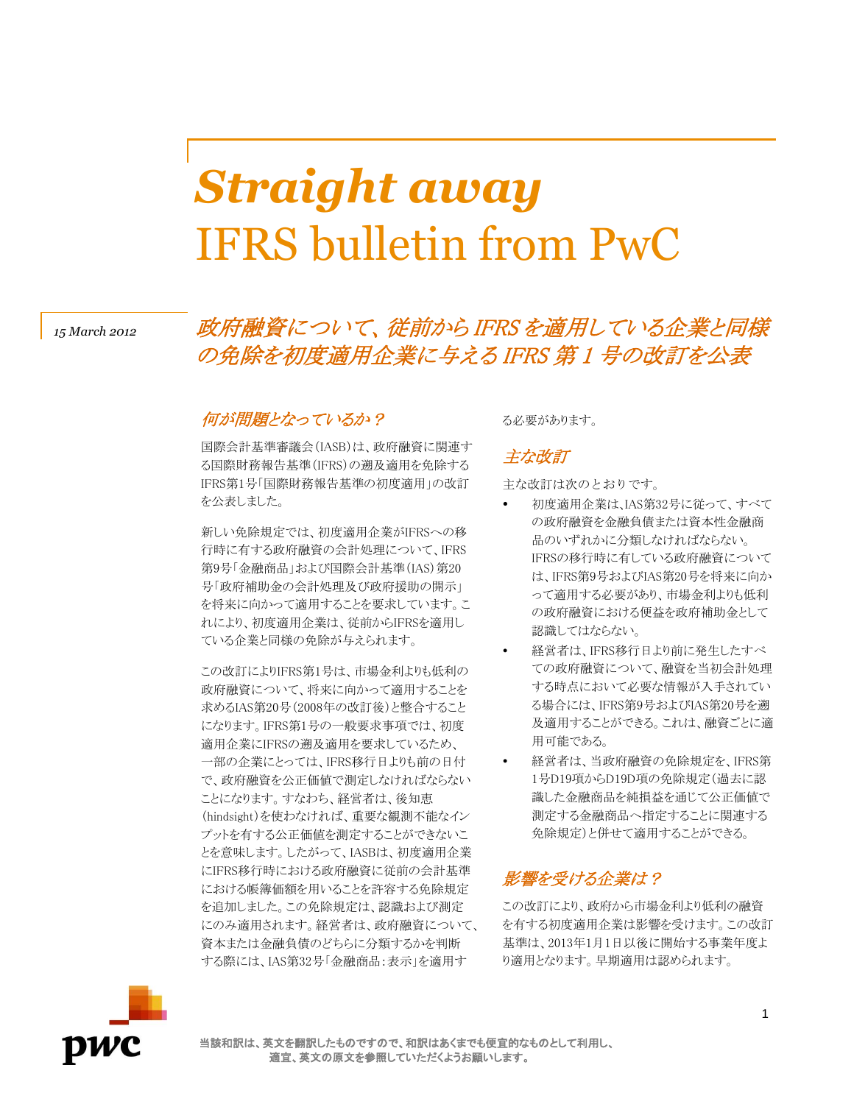# *Straight away* IFRS bulletin from PwC

## *<sup>15</sup> March 2012* 政府融資について、従前から IFRS を適用している企業と同様 の免除を初度適用企業に与える IFRS 第 1 号の改訂を公表

#### 何が問題となっているか?

国際会計基準審議会(IASB)は、政府融資に関連す る国際財務報告基準(IFRS)の遡及適用を免除する IFRS第1号「国際財務報告基準の初度適用」の改訂 を公表しました。

新しい免除規定では、初度適用企業がIFRSへの移 行時に有する政府融資の会計処理について、IFRS 第9号「金融商品」および国際会計基準(IAS)第20 号「政府補助金の会計処理及び政府援助の開示」 を将来に向かって適用することを要求しています。こ れにより、初度適用企業は、従前からIFRSを適用し ている企業と同様の免除が与えられます。

この改訂によりIFRS第1号は、市場金利よりも低利の 政府融資について、将来に向かって適用することを 求めるIAS第20号(2008年の改訂後)と整合すること になります。IFRS第1号の一般要求事項では、初度 適用企業にIFRSの遡及適用を要求しているため、 一部の企業にとっては、IFRS移行日よりも前の日付 で、政府融資を公正価値で測定しなければならない ことになります。すなわち、経営者は、後知恵 (hindsight)を使わなければ、重要な観測不能なイン プットを有する公正価値を測定することができないこ とを意味します。したがって、IASBは、初度適用企業 にIFRS移行時における政府融資に従前の会計基準 における帳簿価額を用いることを許容する免除規定 を追加しました。この免除規定は、認識および測定 にのみ適用されます。経営者は、政府融資について、 資本または金融負債のどちらに分類するかを判断 する際には、IAS第32号「金融商品:表示」を適用す

る必要があります。

#### 主な改訂

主な改訂は次のとおりです。

- 初度適用企業は、IAS第32号に従って、すべて の政府融資を金融負債または資本性金融商 品のいずれかに分類しなければならない。 IFRSの移行時に有している政府融資について は、IFRS第9号およびIAS第20号を将来に向か って適用する必要があり、市場金利よりも低利 の政府融資における便益を政府補助金として 認識してはならない。
- 経営者は、IFRS移行日より前に発生したすべ ての政府融資について、融資を当初会計処理 する時点において必要な情報が入手されてい る場合には、IFRS第9号およびIAS第20号を遡 及適用することができる。これは、融資ごとに適 用可能である。
- 経営者は、当政府融資の免除規定を、IFRS第 1号D19項からD19D項の免除規定(過去に認 識した金融商品を純損益を通じて公正価値で 測定する金融商品へ指定することに関連する 免除規定)と併せて適用することができる。

### 影響を受ける企業は?

この改訂により、政府から市場金利より低利の融資 を有する初度適用企業は影響を受けます。この改訂 基準は、2013年1月1日以後に開始する事業年度よ り適用となります。早期適用は認められます。